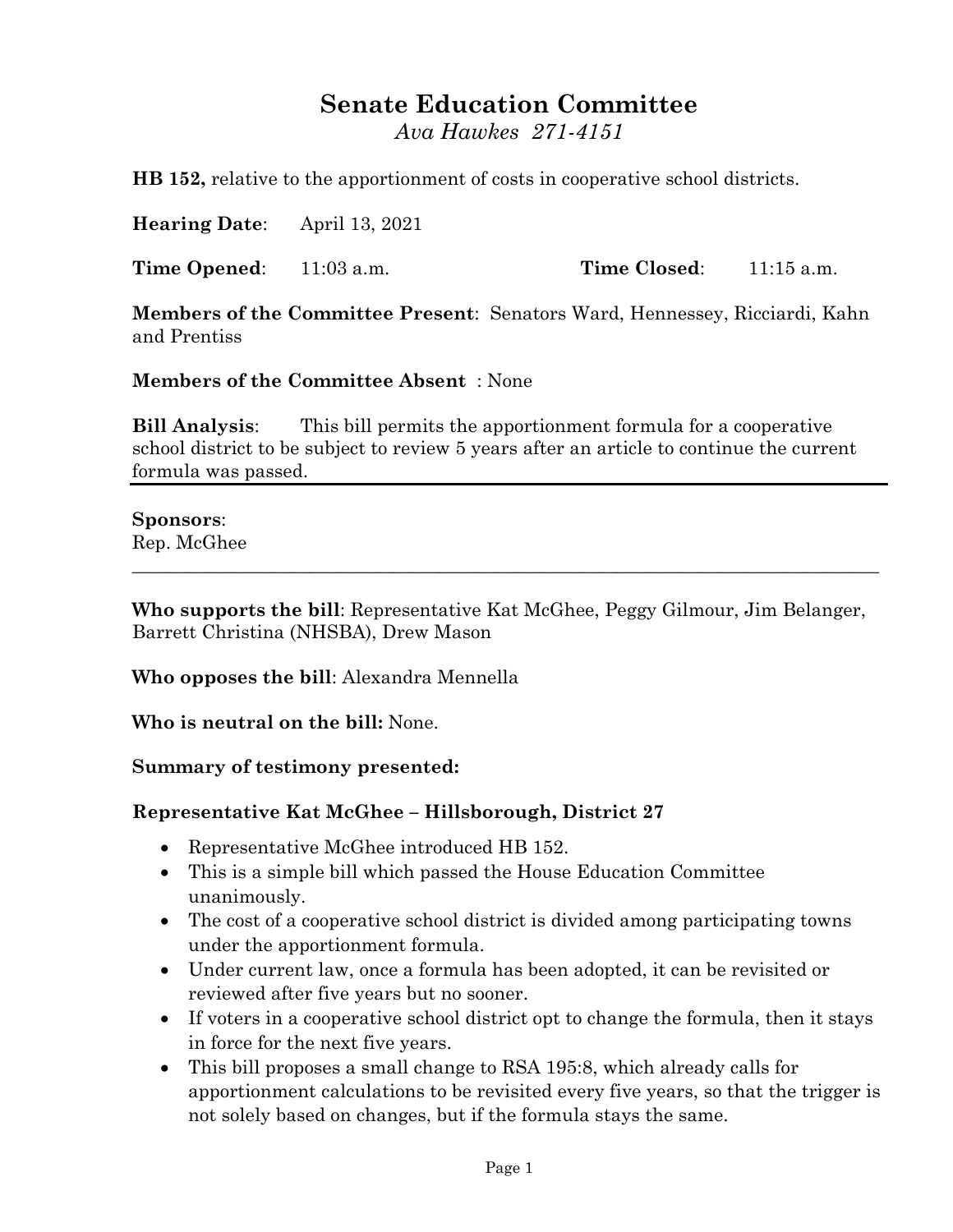## **Senate Education Committee**

*Ava Hawkes 271-4151*

**HB 152,** relative to the apportionment of costs in cooperative school districts.

**Hearing Date**: April 13, 2021

**Time Opened:** 11:03 a.m. **Time Closed:** 11:15 a.m.

**Members of the Committee Present**: Senators Ward, Hennessey, Ricciardi, Kahn and Prentiss

**Members of the Committee Absent** : None

**Bill Analysis**: This bill permits the apportionment formula for a cooperative school district to be subject to review 5 years after an article to continue the current formula was passed.

## **Sponsors**:

Rep. McGhee

**Who supports the bill**: Representative Kat McGhee, Peggy Gilmour, Jim Belanger, Barrett Christina (NHSBA), Drew Mason

\_\_\_\_\_\_\_\_\_\_\_\_\_\_\_\_\_\_\_\_\_\_\_\_\_\_\_\_\_\_\_\_\_\_\_\_\_\_\_\_\_\_\_\_\_\_\_\_\_\_\_\_\_\_\_\_\_\_\_\_\_\_\_\_\_\_\_\_\_\_\_\_\_\_\_\_\_\_\_\_

**Who opposes the bill**: Alexandra Mennella

**Who is neutral on the bill:** None.

**Summary of testimony presented:**

## **Representative Kat McGhee – Hillsborough, District 27**

- Representative McGhee introduced HB 152.
- This is a simple bill which passed the House Education Committee unanimously.
- The cost of a cooperative school district is divided among participating towns under the apportionment formula.
- Under current law, once a formula has been adopted, it can be revisited or reviewed after five years but no sooner.
- If voters in a cooperative school district opt to change the formula, then it stays in force for the next five years.
- This bill proposes a small change to RSA 195:8, which already calls for apportionment calculations to be revisited every five years, so that the trigger is not solely based on changes, but if the formula stays the same.